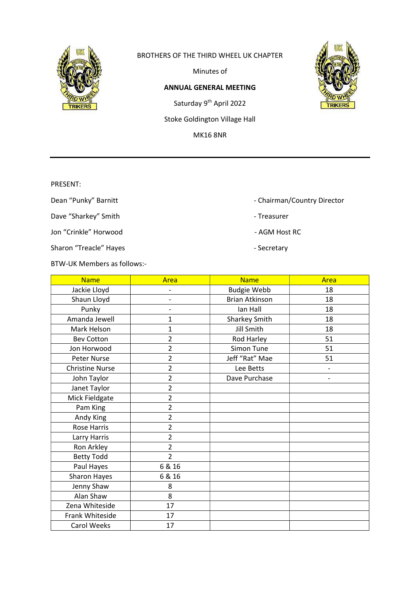

### BROTHERS OF THE THIRD WHEEL UK CHAPTER

Minutes of

### ANNUAL GENERAL MEETING

Saturday 9<sup>th</sup> April 2022

Stoke Goldington Village Hall

MK16 8NR

PRESENT:

Dave "Sharkey" Smith - Treasurer

Jon "Crinkle" Horwood **Agency Contract Contract AGM Host RC** 

Sharon "Treacle" Hayes **Access 19 and Secretary** - Secretary

BTW-UK Members as follows:-

Carol Weeks | 17

Name | Area | Name | Area Jackie Lloyd | Fig. 18 Shaun Lloyd | - Register | Brian Atkinson | 18 Punky | - | Ian Hall | 18 Amanda Jewell | 1 1 Sharkey Smith | 18 Mark Helson 1 1 Jill Smith 18 Bev Cotton 2 Rod Harley 51 Jon Horwood | 2 | Simon Tune | 51 Peter Nurse | 2 Jeff "Rat" Mae | 51 Christine Nurse 2 Lee Betts -John Taylor 2 Dave Purchase - Janet Taylor | 2 Mick Fieldgate | 2 Pam King 2 Andy King 2 Rose Harris 2 Larry Harris 2 Ron Arkley 2 Betty Todd 2 Paul Hayes | 6 & 16 Sharon Hayes | 6 & 16 Jenny Shaw | 8 Alan Shaw | 8 Zena Whiteside | 17 Frank Whiteside | 17



- Dean "Punky" Barnitt  **Chairman/Country Director** Chairman/Country Director
	-
	-
	-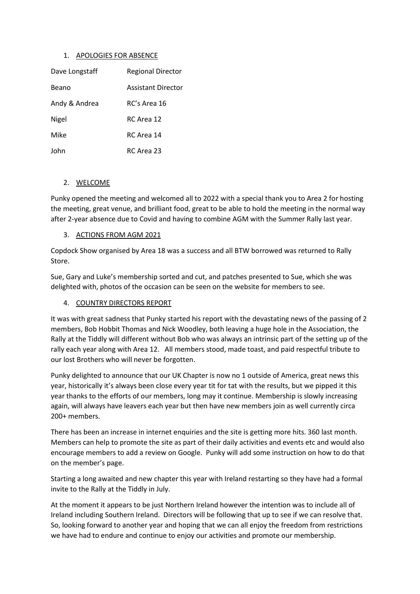### 1. APOLOGIES FOR ABSENCE

| Dave Longstaff | <b>Regional Director</b>  |
|----------------|---------------------------|
| Beano          | <b>Assistant Director</b> |
| Andy & Andrea  | RC's Area 16              |
| Nigel          | RC Area 12                |
| Mike           | RC Area 14                |
| John           | RC Area 23                |

### 2. WELCOME

Punky opened the meeting and welcomed all to 2022 with a special thank you to Area 2 for hosting the meeting, great venue, and brilliant food, great to be able to hold the meeting in the normal way after 2-year absence due to Covid and having to combine AGM with the Summer Rally last year.

#### 3. ACTIONS FROM AGM 2021

Copdock Show organised by Area 18 was a success and all BTW borrowed was returned to Rally Store.

Sue, Gary and Luke's membership sorted and cut, and patches presented to Sue, which she was delighted with, photos of the occasion can be seen on the website for members to see.

### 4. COUNTRY DIRECTORS REPORT

It was with great sadness that Punky started his report with the devastating news of the passing of 2 members, Bob Hobbit Thomas and Nick Woodley, both leaving a huge hole in the Association, the Rally at the Tiddly will different without Bob who was always an intrinsic part of the setting up of the rally each year along with Area 12. All members stood, made toast, and paid respectful tribute to our lost Brothers who will never be forgotten.

Punky delighted to announce that our UK Chapter is now no 1 outside of America, great news this year, historically it's always been close every year tit for tat with the results, but we pipped it this year thanks to the efforts of our members, long may it continue. Membership is slowly increasing again, will always have leavers each year but then have new members join as well currently circa 200+ members.

There has been an increase in internet enquiries and the site is getting more hits. 360 last month. Members can help to promote the site as part of their daily activities and events etc and would also encourage members to add a review on Google. Punky will add some instruction on how to do that on the member's page.

Starting a long awaited and new chapter this year with Ireland restarting so they have had a formal invite to the Rally at the Tiddly in July.

At the moment it appears to be just Northern Ireland however the intention was to include all of Ireland including Southern Ireland. Directors will be following that up to see if we can resolve that. So, looking forward to another year and hoping that we can all enjoy the freedom from restrictions we have had to endure and continue to enjoy our activities and promote our membership.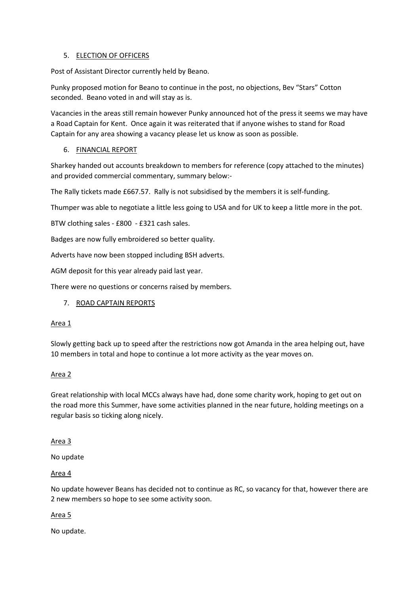## 5. ELECTION OF OFFICERS

Post of Assistant Director currently held by Beano.

Punky proposed motion for Beano to continue in the post, no objections, Bev "Stars" Cotton seconded. Beano voted in and will stay as is.

Vacancies in the areas still remain however Punky announced hot of the press it seems we may have a Road Captain for Kent. Once again it was reiterated that if anyone wishes to stand for Road Captain for any area showing a vacancy please let us know as soon as possible.

## 6. FINANCIAL REPORT

Sharkey handed out accounts breakdown to members for reference (copy attached to the minutes) and provided commercial commentary, summary below:-

The Rally tickets made £667.57. Rally is not subsidised by the members it is self-funding.

Thumper was able to negotiate a little less going to USA and for UK to keep a little more in the pot.

BTW clothing sales - £800 - £321 cash sales.

Badges are now fully embroidered so better quality.

Adverts have now been stopped including BSH adverts.

AGM deposit for this year already paid last year.

There were no questions or concerns raised by members.

### 7. ROAD CAPTAIN REPORTS

### Area 1

Slowly getting back up to speed after the restrictions now got Amanda in the area helping out, have 10 members in total and hope to continue a lot more activity as the year moves on.

### Area 2

Great relationship with local MCCs always have had, done some charity work, hoping to get out on the road more this Summer, have some activities planned in the near future, holding meetings on a regular basis so ticking along nicely.

### Area 3

No update

### Area 4

No update however Beans has decided not to continue as RC, so vacancy for that, however there are 2 new members so hope to see some activity soon.

### Area 5

No update.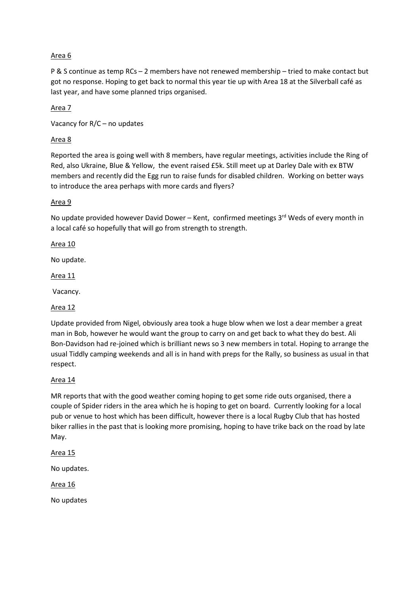# Area 6

P & S continue as temp RCs – 2 members have not renewed membership – tried to make contact but got no response. Hoping to get back to normal this year tie up with Area 18 at the Silverball café as last year, and have some planned trips organised.

Area 7

Vacancy for R/C – no updates

# Area 8

Reported the area is going well with 8 members, have regular meetings, activities include the Ring of Red, also Ukraine, Blue & Yellow, the event raised £5k. Still meet up at Darley Dale with ex BTW members and recently did the Egg run to raise funds for disabled children. Working on better ways to introduce the area perhaps with more cards and flyers?

## Area 9

No update provided however David Dower – Kent, confirmed meetings 3<sup>rd</sup> Weds of every month in a local café so hopefully that will go from strength to strength.

## Area 10

No update.

## Area 11

Vacancy.

# Area 12

Update provided from Nigel, obviously area took a huge blow when we lost a dear member a great man in Bob, however he would want the group to carry on and get back to what they do best. Ali Bon-Davidson had re-joined which is brilliant news so 3 new members in total. Hoping to arrange the usual Tiddly camping weekends and all is in hand with preps for the Rally, so business as usual in that respect.

### Area 14

MR reports that with the good weather coming hoping to get some ride outs organised, there a couple of Spider riders in the area which he is hoping to get on board. Currently looking for a local pub or venue to host which has been difficult, however there is a local Rugby Club that has hosted biker rallies in the past that is looking more promising, hoping to have trike back on the road by late May.

### Area 15

No updates.

# Area 16

No updates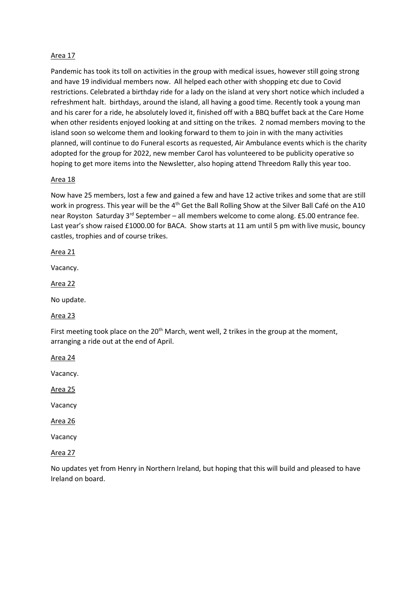## Area 17

Pandemic has took its toll on activities in the group with medical issues, however still going strong and have 19 individual members now. All helped each other with shopping etc due to Covid restrictions. Celebrated a birthday ride for a lady on the island at very short notice which included a refreshment halt. birthdays, around the island, all having a good time. Recently took a young man and his carer for a ride, he absolutely loved it, finished off with a BBQ buffet back at the Care Home when other residents enjoyed looking at and sitting on the trikes. 2 nomad members moving to the island soon so welcome them and looking forward to them to join in with the many activities planned, will continue to do Funeral escorts as requested, Air Ambulance events which is the charity adopted for the group for 2022, new member Carol has volunteered to be publicity operative so hoping to get more items into the Newsletter, also hoping attend Threedom Rally this year too.

## Area 18

Now have 25 members, lost a few and gained a few and have 12 active trikes and some that are still work in progress. This year will be the 4<sup>th</sup> Get the Ball Rolling Show at the Silver Ball Café on the A10 near Royston Saturday 3rd September – all members welcome to come along. £5.00 entrance fee. Last year's show raised £1000.00 for BACA. Show starts at 11 am until 5 pm with live music, bouncy castles, trophies and of course trikes.

### Area 21

Vacancy.

Area 22

No update.

### Area 23

First meeting took place on the  $20<sup>th</sup>$  March, went well, 2 trikes in the group at the moment, arranging a ride out at the end of April.

Area 24

Vacancy.

Area 25

Vacancy

Area 26

Vacancy

Area 27

No updates yet from Henry in Northern Ireland, but hoping that this will build and pleased to have Ireland on board.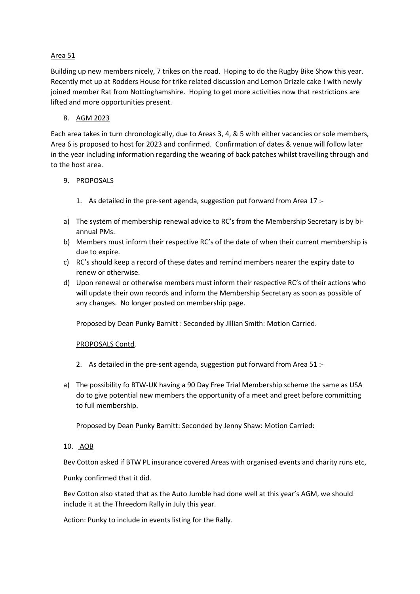## Area 51

Building up new members nicely, 7 trikes on the road. Hoping to do the Rugby Bike Show this year. Recently met up at Rodders House for trike related discussion and Lemon Drizzle cake ! with newly joined member Rat from Nottinghamshire. Hoping to get more activities now that restrictions are lifted and more opportunities present.

## 8. AGM 2023

Each area takes in turn chronologically, due to Areas 3, 4, & 5 with either vacancies or sole members, Area 6 is proposed to host for 2023 and confirmed. Confirmation of dates & venue will follow later in the year including information regarding the wearing of back patches whilst travelling through and to the host area.

## 9. PROPOSALS

- 1. As detailed in the pre-sent agenda, suggestion put forward from Area 17 :-
- a) The system of membership renewal advice to RC's from the Membership Secretary is by biannual PMs.
- b) Members must inform their respective RC's of the date of when their current membership is due to expire.
- c) RC's should keep a record of these dates and remind members nearer the expiry date to renew or otherwise.
- d) Upon renewal or otherwise members must inform their respective RC's of their actions who will update their own records and inform the Membership Secretary as soon as possible of any changes. No longer posted on membership page.

Proposed by Dean Punky Barnitt : Seconded by Jillian Smith: Motion Carried.

### PROPOSALS Contd.

- 2. As detailed in the pre-sent agenda, suggestion put forward from Area 51 :-
- a) The possibility fo BTW-UK having a 90 Day Free Trial Membership scheme the same as USA do to give potential new members the opportunity of a meet and greet before committing to full membership.

Proposed by Dean Punky Barnitt: Seconded by Jenny Shaw: Motion Carried:

# 10. AOB

Bev Cotton asked if BTW PL insurance covered Areas with organised events and charity runs etc,

Punky confirmed that it did.

Bev Cotton also stated that as the Auto Jumble had done well at this year's AGM, we should include it at the Threedom Rally in July this year.

Action: Punky to include in events listing for the Rally.